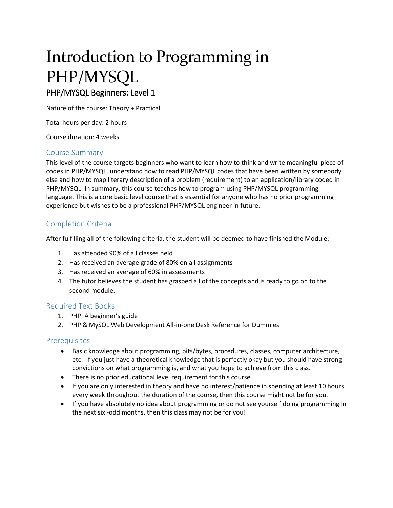# Introduction to Programming in PHP/MYSQL PHP/MYSQL Beginners: Level 1

Nature of the course: Theory + Practical

Total hours per day: 2 hours

Course duration: 4 weeks

#### Course Summary

This level of the course targets beginners who want to learn how to think and write meaningful piece of codes in PHP/MYSQL, understand how to read PHP/MYSQL codes that have been written by somebody else and how to map literary description of a problem (requirement) to an application/library coded in PHP/MYSQL. In summary, this course teaches how to program using PHP/MYSQL programming language. This is a core basic level course that is essential for anyone who has no prior programming experience but wishes to be a professional PHP/MYSQL engineer in future.

## Completion Criteria

After fulfilling all of the following criteria, the student will be deemed to have finished the Module:

- 1. Has attended 90% of all classes held
- 2. Has received an average grade of 80% on all assignments
- 3. Has received an average of 60% in assessments
- 4. The tutor believes the student has grasped all of the concepts and is ready to go on to the second module.

#### Required Text Books

- 1. PHP: A beginner's guide
- 2. PHP & MySQL Web Development All-in-one Desk Reference for Dummies

#### **Prerequisites**

- Basic knowledge about programming, bits/bytes, procedures, classes, computer architecture, etc. If you just have a theoretical knowledge that is perfectly okay but you should have strong convictions on what programming is, and what you hope to achieve from this class.
- There is no prior educational level requirement for this course.
- If you are only interested in theory and have no interest/patience in spending at least 10 hours every week throughout the duration of the course, then this course might not be for you.
- If you have absolutely no idea about programming or do not see yourself doing programming in the next six -odd months, then this class may not be for you!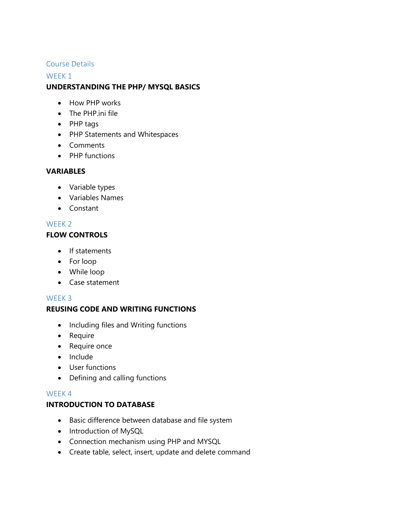## Course Details

## WEEK<sub>1</sub> **UNDERSTANDING THE PHP/ MYSQL BASICS**

- How PHP works
- The PHP.ini file
- PHP tags
- PHP Statements and Whitespaces
- Comments
- PHP functions

## **VARIABLES**

- Variable types
- Variables Names
- Constant

## WFFK<sub>2</sub>

## **FLOW CONTROLS**

- If statements
- For loop
- While loop
- Case statement

## WEEK 3

## **REUSING CODE AND WRITING FUNCTIONS**

- Including files and Writing functions
- Require
- Require once
- Include
- User functions
- Defining and calling functions

## WEEK 4

## **INTRODUCTION TO DATABASE**

- Basic difference between database and file system
- Introduction of MySQL
- Connection mechanism using PHP and MYSQL
- Create table, select, insert, update and delete command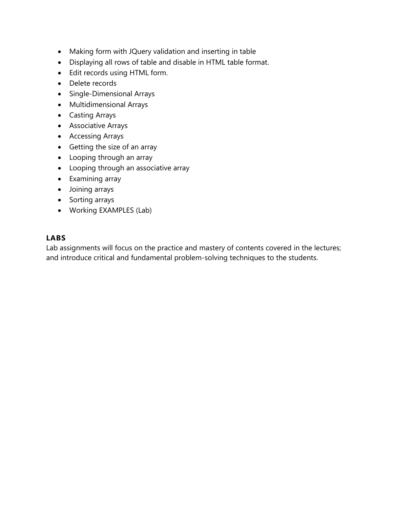- Making form with JQuery validation and inserting in table
- Displaying all rows of table and disable in HTML table format.
- Edit records using HTML form.
- Delete records
- Single-Dimensional Arrays
- Multidimensional Arrays
- Casting Arrays
- Associative Arrays
- Accessing Arrays
- Getting the size of an array
- Looping through an array
- Looping through an associative array
- Examining array
- Joining arrays
- Sorting arrays
- Working EXAMPLES (Lab)

## **LABS**

Lab assignments will focus on the practice and mastery of contents covered in the lectures; and introduce critical and fundamental problem-solving techniques to the students.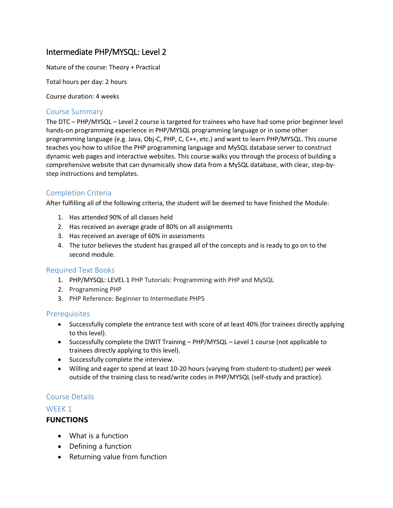# Intermediate PHP/MYSQL: Level 2

Nature of the course: Theory + Practical

Total hours per day: 2 hours

Course duration: 4 weeks

#### Course Summary

The DTC – PHP/MYSQL – Level 2 course is targeted for trainees who have had some prior beginner level hands-on programming experience in PHP/MYSQL programming language or in some other programming language (e.g. Java, Obj-C, PHP, C, C++, etc.) and want to learn PHP/MYSQL. This course teaches you how to utilize the PHP programming language and MySQL database server to construct dynamic web pages and interactive websites. This course walks you through the process of building a comprehensive website that can dynamically show data from a MySQL database, with clear, step-bystep instructions and templates.

## Completion Criteria

After fulfilling all of the following criteria, the student will be deemed to have finished the Module:

- 1. Has attended 90% of all classes held
- 2. Has received an average grade of 80% on all assignments
- 3. Has received an average of 60% in assessments
- 4. The tutor believes the student has grasped all of the concepts and is ready to go on to the second module.

#### Required Text Books

- 1. PHP/MYSQL: LEVEL 1 PHP Tutorials: Programming with PHP and MySQL
- 2. Programming PHP
- 3. PHP Reference: Beginner to Intermediate PHP5

## Prerequisites

- Successfully complete the entrance test with score of at least 40% (for trainees directly applying to this level).
- Successfully complete the DWIT Training PHP/MYSQL Level 1 course (not applicable to trainees directly applying to this level).
- Successfully complete the interview.
- Willing and eager to spend at least 10-20 hours (varying from student-to-student) per week outside of the training class to read/write codes in PHP/MYSQL (self-study and practice).

## Course Details

#### WEEK<sub>1</sub>

## **FUNCTIONS**

- What is a function
- Defining a function
- Returning value from function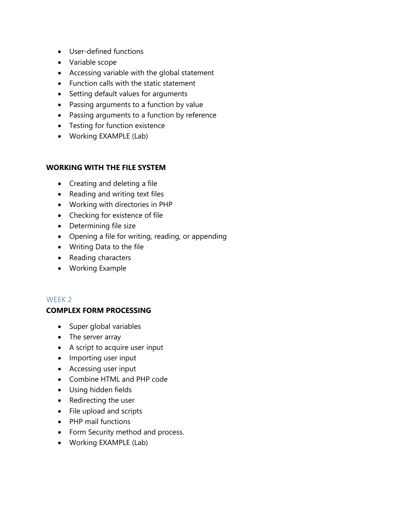- User-defined functions
- Variable scope
- Accessing variable with the global statement
- Function calls with the static statement
- Setting default values for arguments
- Passing arguments to a function by value
- Passing arguments to a function by reference
- Testing for function existence
- Working EXAMPLE (Lab)

## **WORKING WITH THE FILE SYSTEM**

- Creating and deleting a file
- Reading and writing text files
- Working with directories in PHP
- Checking for existence of file
- Determining file size
- Opening a file for writing, reading, or appending
- Writing Data to the file
- Reading characters
- Working Example

## WEEK 2

## **COMPLEX FORM PROCESSING**

- Super global variables
- The server array
- A script to acquire user input
- Importing user input
- Accessing user input
- Combine HTML and PHP code
- Using hidden fields
- Redirecting the user
- File upload and scripts
- PHP mail functions
- Form Security method and process.
- Working EXAMPLE (Lab)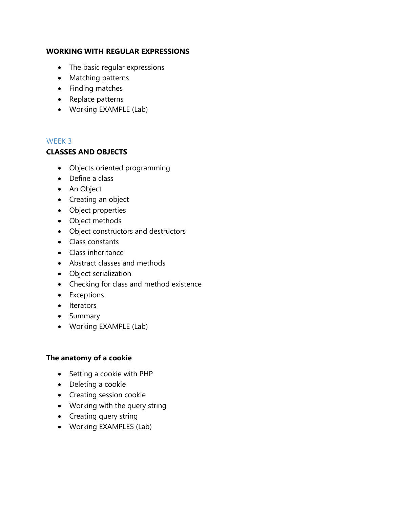## **WORKING WITH REGULAR EXPRESSIONS**

- The basic regular expressions
- Matching patterns
- Finding matches
- Replace patterns
- Working EXAMPLE (Lab)

## WEEK 3

## **CLASSES AND OBJECTS**

- Objects oriented programming
- Define a class
- An Object
- Creating an object
- Object properties
- Object methods
- Object constructors and destructors
- Class constants
- Class inheritance
- Abstract classes and methods
- Object serialization
- Checking for class and method existence
- Exceptions
- Iterators
- Summary
- Working EXAMPLE (Lab)

## **The anatomy of a cookie**

- Setting a cookie with PHP
- Deleting a cookie
- Creating session cookie
- Working with the query string
- Creating query string
- Working EXAMPLES (Lab)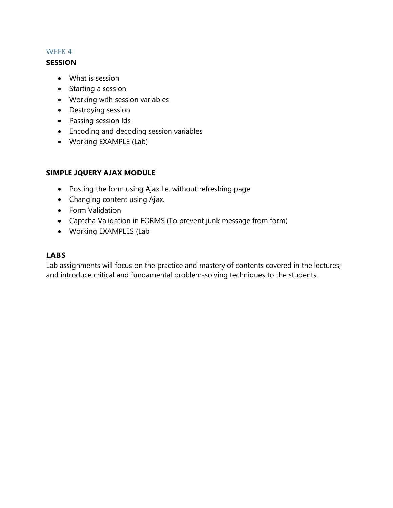## WEEK 4

#### **SESSION**

- What is session
- Starting a session
- Working with session variables
- Destroying session
- Passing session Ids
- Encoding and decoding session variables
- Working EXAMPLE (Lab)

## **SIMPLE JQUERY AJAX MODULE**

- Posting the form using Ajax I.e. without refreshing page.
- Changing content using Ajax.
- **•** Form Validation
- Captcha Validation in FORMS (To prevent junk message from form)
- Working EXAMPLES (Lab

## **LABS**

Lab assignments will focus on the practice and mastery of contents covered in the lectures; and introduce critical and fundamental problem-solving techniques to the students.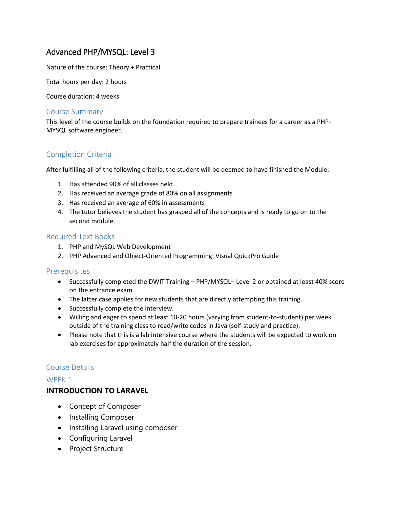# Advanced PHP/MYSQL: Level 3

Nature of the course: Theory + Practical

Total hours per day: 2 hours

Course duration: 4 weeks

#### Course Summary

This level of the course builds on the foundation required to prepare trainees for a career as a PHP-MYSQL software engineer.

## Completion Criteria

After fulfilling all of the following criteria, the student will be deemed to have finished the Module:

- 1. Has attended 90% of all classes held
- 2. Has received an average grade of 80% on all assignments
- 3. Has received an average of 60% in assessments
- 4. The tutor believes the student has grasped all of the concepts and is ready to go on to the second module.

#### Required Text Books

- 1. PHP and MySQL Web Development
- 2. PHP Advanced and Object-Oriented Programming: Visual QuickPro Guide

#### Prerequisites

- Successfully completed the DWIT Training PHP/MYSQL– Level 2 or obtained at least 40% score on the entrance exam.
- The latter case applies for new students that are directly attempting this training.
- Successfully complete the interview.
- Willing and eager to spend at least 10-20 hours (varying from student-to-student) per week outside of the training class to read/write codes in Java (self-study and practice).
- Please note that this is a lab intensive course where the students will be expected to work on lab exercises for approximately half the duration of the session.

## Course Details

#### WEEK<sub>1</sub>

#### **INTRODUCTION TO LARAVEL**

- Concept of Composer
- Installing Composer
- Installing Laravel using composer
- Configuring Laravel
- Project Structure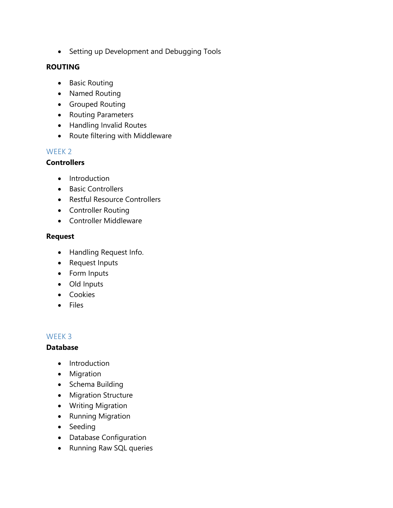• Setting up Development and Debugging Tools

## **ROUTING**

- Basic Routing
- Named Routing
- Grouped Routing
- Routing Parameters
- Handling Invalid Routes
- Route filtering with Middleware

## WEEK 2

## **Controllers**

- Introduction
- Basic Controllers
- Restful Resource Controllers
- Controller Routing
- Controller Middleware

## **Request**

- Handling Request Info.
- Request Inputs
- Form Inputs
- Old Inputs
- Cookies
- Files

## WEEK 3

## **Database**

- Introduction
- Migration
- Schema Building
- Migration Structure
- Writing Migration
- Running Migration
- Seeding
- Database Configuration
- Running Raw SQL queries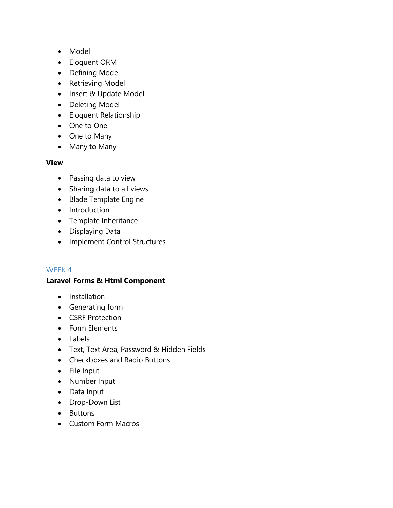- Model
- Eloquent ORM
- Defining Model
- Retrieving Model
- Insert & Update Model
- Deleting Model
- Eloquent Relationship
- One to One
- One to Many
- Many to Many

## **View**

- Passing data to view
- Sharing data to all views
- Blade Template Engine
- Introduction
- Template Inheritance
- Displaying Data
- Implement Control Structures

## WEEK 4

## **Laravel Forms & Html Component**

- Installation
- Generating form
- CSRF Protection
- Form Elements
- Labels
- Text, Text Area, Password & Hidden Fields
- Checkboxes and Radio Buttons
- File Input
- Number Input
- Data Input
- Drop-Down List
- Buttons
- Custom Form Macros